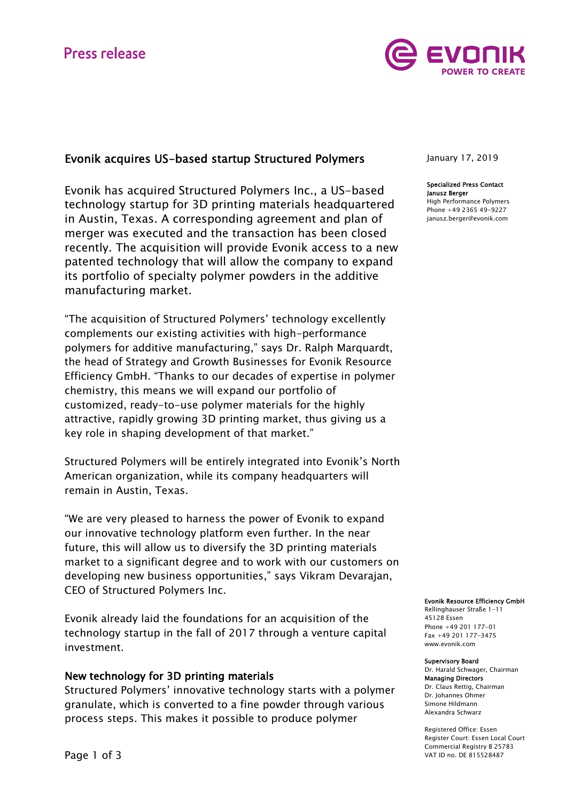

# Evonik acquires US-based startup Structured Polymers

Evonik has acquired Structured Polymers Inc., a US-based technology startup for 3D printing materials headquartered in Austin, Texas. A corresponding agreement and plan of merger was executed and the transaction has been closed recently. The acquisition will provide Evonik access to a new patented technology that will allow the company to expand its portfolio of specialty polymer powders in the additive manufacturing market.

"The acquisition of Structured Polymers' technology excellently complements our existing activities with high-performance polymers for additive manufacturing," says Dr. Ralph Marquardt, the head of Strategy and Growth Businesses for Evonik Resource Efficiency GmbH. "Thanks to our decades of expertise in polymer chemistry, this means we will expand our portfolio of customized, ready-to-use polymer materials for the highly attractive, rapidly growing 3D printing market, thus giving us a key role in shaping development of that market."

Structured Polymers will be entirely integrated into Evonik's North American organization, while its company headquarters will remain in Austin, Texas.

"We are very pleased to harness the power of Evonik to expand our innovative technology platform even further. In the near future, this will allow us to diversify the 3D printing materials market to a significant degree and to work with our customers on developing new business opportunities," says Vikram Devarajan, CEO of Structured Polymers Inc.

Evonik already laid the foundations for an acquisition of the technology startup in the fall of 2017 through a venture capital investment.

## New technology for 3D printing materials

Structured Polymers' innovative technology starts with a polymer granulate, which is converted to a fine powder through various process steps. This makes it possible to produce polymer

January 17, 2019

## Specialized Press Contact Janusz Berger

High Performance Polymers Phone +49 2365 49-9227 janusz.berger@evonik.com

#### Evonik Resource Efficiency GmbH

Rellinghauser Straße 1-11 45128 Essen Phone +49 201 177-01 Fax +49 201 177-3475 www.evonik.com

#### Supervisory Board

Dr. Harald Schwager, Chairman Managing Directors Dr. Claus Rettig, Chairman Dr. Johannes Ohmer Simone Hildmann Alexandra Schwarz

Registered Office: Essen Register Court: Essen Local Court Commercial Registry B 25783 VAT ID no. DE 815528487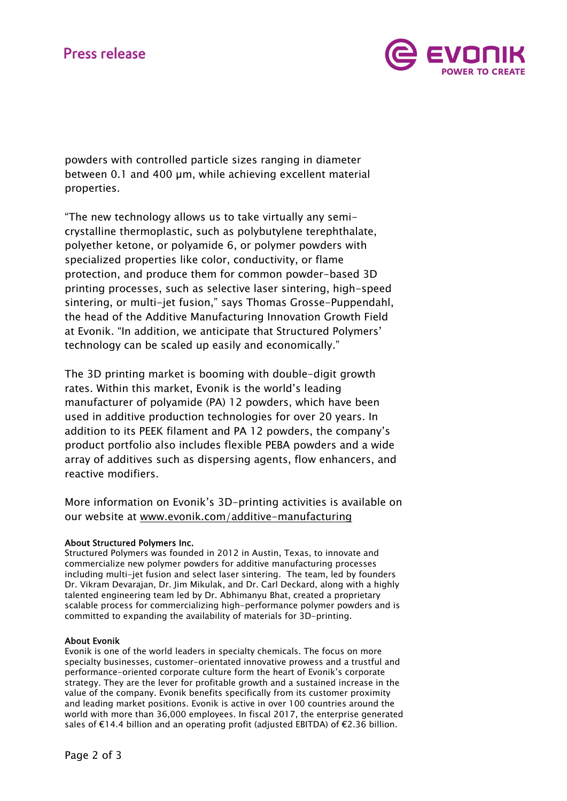

powders with controlled particle sizes ranging in diameter between 0.1 and 400 µm, while achieving excellent material properties.

"The new technology allows us to take virtually any semicrystalline thermoplastic, such as polybutylene terephthalate, polyether ketone, or polyamide 6, or polymer powders with specialized properties like color, conductivity, or flame protection, and produce them for common powder-based 3D printing processes, such as selective laser sintering, high-speed sintering, or multi-jet fusion," says Thomas Grosse-Puppendahl, the head of the Additive Manufacturing Innovation Growth Field at Evonik. "In addition, we anticipate that Structured Polymers' technology can be scaled up easily and economically."

The 3D printing market is booming with double-digit growth rates. Within this market, Evonik is the world's leading manufacturer of polyamide (PA) 12 powders, which have been used in additive production technologies for over 20 years. In addition to its PEEK filament and PA 12 powders, the company's product portfolio also includes flexible PEBA powders and a wide array of additives such as dispersing agents, flow enhancers, and reactive modifiers.

More information on Evonik's 3D-printing activities is available on our website at www.evonik.com/additive-manufacturing

## About Structured Polymers Inc.

Structured Polymers was founded in 2012 in Austin, Texas, to innovate and commercialize new polymer powders for additive manufacturing processes including multi-jet fusion and select laser sintering. The team, led by founders Dr. Vikram Devarajan, Dr. Jim Mikulak, and Dr. Carl Deckard, along with a highly talented engineering team led by Dr. Abhimanyu Bhat, created a proprietary scalable process for commercializing high-performance polymer powders and is committed to expanding the availability of materials for 3D-printing.

## About Evonik

Evonik is one of the world leaders in specialty chemicals. The focus on more specialty businesses, customer-orientated innovative prowess and a trustful and performance-oriented corporate culture form the heart of Evonik's corporate strategy. They are the lever for profitable growth and a sustained increase in the value of the company. Evonik benefits specifically from its customer proximity and leading market positions. Evonik is active in over 100 countries around the world with more than 36,000 employees. In fiscal 2017, the enterprise generated sales of €14.4 billion and an operating profit (adjusted EBITDA) of €2.36 billion.